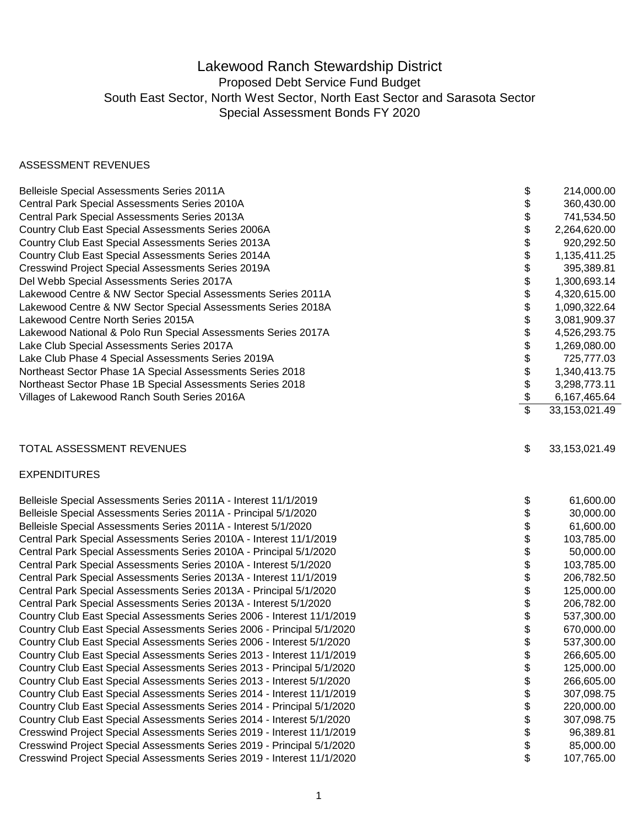## Lakewood Ranch Stewardship District Proposed Debt Service Fund Budget South East Sector, North West Sector, North East Sector and Sarasota Sector Special Assessment Bonds FY 2020

### ASSESSMENT REVENUES

| Belleisle Special Assessments Series 2011A                             | \$                       | 214,000.00      |
|------------------------------------------------------------------------|--------------------------|-----------------|
| Central Park Special Assessments Series 2010A                          | \$                       | 360,430.00      |
| Central Park Special Assessments Series 2013A                          | \$                       | 741,534.50      |
| Country Club East Special Assessments Series 2006A                     | \$                       | 2,264,620.00    |
| Country Club East Special Assessments Series 2013A                     | \$                       | 920,292.50      |
| Country Club East Special Assessments Series 2014A                     | \$                       | 1,135,411.25    |
| <b>Cresswind Project Special Assessments Series 2019A</b>              | \$                       | 395,389.81      |
| Del Webb Special Assessments Series 2017A                              | \$                       | 1,300,693.14    |
| Lakewood Centre & NW Sector Special Assessments Series 2011A           | \$                       | 4,320,615.00    |
| Lakewood Centre & NW Sector Special Assessments Series 2018A           | \$                       | 1,090,322.64    |
| Lakewood Centre North Series 2015A                                     | \$                       | 3,081,909.37    |
| Lakewood National & Polo Run Special Assessments Series 2017A          | \$                       | 4,526,293.75    |
| Lake Club Special Assessments Series 2017A                             | \$                       | 1,269,080.00    |
| Lake Club Phase 4 Special Assessments Series 2019A                     | \$                       | 725,777.03      |
| Northeast Sector Phase 1A Special Assessments Series 2018              | \$                       | 1,340,413.75    |
| Northeast Sector Phase 1B Special Assessments Series 2018              | \$                       | 3,298,773.11    |
| Villages of Lakewood Ranch South Series 2016A                          | $\frac{1}{2}$            | 6,167,465.64    |
|                                                                        | $\overline{\mathcal{S}}$ | 33,153,021.49   |
| TOTAL ASSESSMENT REVENUES                                              | \$                       | 33, 153, 021.49 |
|                                                                        |                          |                 |
| <b>EXPENDITURES</b>                                                    |                          |                 |
| Belleisle Special Assessments Series 2011A - Interest 11/1/2019        | \$                       | 61,600.00       |
| Belleisle Special Assessments Series 2011A - Principal 5/1/2020        | \$                       | 30,000.00       |
| Belleisle Special Assessments Series 2011A - Interest 5/1/2020         | \$                       | 61,600.00       |
| Central Park Special Assessments Series 2010A - Interest 11/1/2019     | \$                       | 103,785.00      |
| Central Park Special Assessments Series 2010A - Principal 5/1/2020     | \$                       | 50,000.00       |
| Central Park Special Assessments Series 2010A - Interest 5/1/2020      | \$                       | 103,785.00      |
| Central Park Special Assessments Series 2013A - Interest 11/1/2019     | \$                       | 206,782.50      |
| Central Park Special Assessments Series 2013A - Principal 5/1/2020     | \$                       | 125,000.00      |
| Central Park Special Assessments Series 2013A - Interest 5/1/2020      | \$                       | 206,782.00      |
| Country Club East Special Assessments Series 2006 - Interest 11/1/2019 | \$                       | 537,300.00      |
| Country Club East Special Assessments Series 2006 - Principal 5/1/2020 | \$                       | 670,000.00      |
| Country Club East Special Assessments Series 2006 - Interest 5/1/2020  | \$                       | 537,300.00      |
| Country Club East Special Assessments Series 2013 - Interest 11/1/2019 | \$                       | 266,605.00      |
| Country Club East Special Assessments Series 2013 - Principal 5/1/2020 | \$                       | 125,000.00      |
| Country Club East Special Assessments Series 2013 - Interest 5/1/2020  | \$                       | 266,605.00      |
| Country Club East Special Assessments Series 2014 - Interest 11/1/2019 | \$                       | 307,098.75      |
| Country Club East Special Assessments Series 2014 - Principal 5/1/2020 | \$                       | 220,000.00      |
| Country Club East Special Assessments Series 2014 - Interest 5/1/2020  | \$                       | 307,098.75      |
| Cresswind Project Special Assessments Series 2019 - Interest 11/1/2019 | \$                       | 96,389.81       |
| Cresswind Project Special Assessments Series 2019 - Principal 5/1/2020 | \$                       | 85,000.00       |
| Cresswind Project Special Assessments Series 2019 - Interest 11/1/2020 | \$                       | 107,765.00      |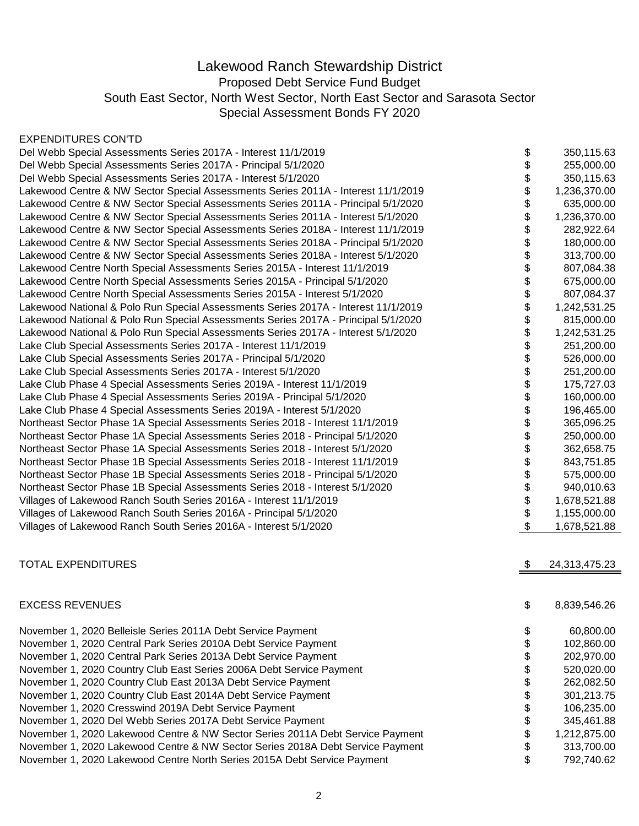# Lakewood Ranch Stewardship District

Proposed Debt Service Fund Budget

South East Sector, North West Sector, North East Sector and Sarasota Sector

Special Assessment Bonds FY 2020

#### EXPENDITURES CON'TD

| Del Webb Special Assessments Series 2017A - Interest 11/1/2019                     | \$<br>350,115.63    |
|------------------------------------------------------------------------------------|---------------------|
| Del Webb Special Assessments Series 2017A - Principal 5/1/2020                     | \$<br>255,000.00    |
| Del Webb Special Assessments Series 2017A - Interest 5/1/2020                      | \$<br>350,115.63    |
| Lakewood Centre & NW Sector Special Assessments Series 2011A - Interest 11/1/2019  | \$<br>1,236,370.00  |
| Lakewood Centre & NW Sector Special Assessments Series 2011A - Principal 5/1/2020  | \$<br>635,000.00    |
| Lakewood Centre & NW Sector Special Assessments Series 2011A - Interest 5/1/2020   | \$<br>1,236,370.00  |
| Lakewood Centre & NW Sector Special Assessments Series 2018A - Interest 11/1/2019  | \$<br>282,922.64    |
| Lakewood Centre & NW Sector Special Assessments Series 2018A - Principal 5/1/2020  | \$<br>180,000.00    |
| Lakewood Centre & NW Sector Special Assessments Series 2018A - Interest 5/1/2020   | \$<br>313,700.00    |
| Lakewood Centre North Special Assessments Series 2015A - Interest 11/1/2019        | \$<br>807,084.38    |
| Lakewood Centre North Special Assessments Series 2015A - Principal 5/1/2020        | \$<br>675,000.00    |
| Lakewood Centre North Special Assessments Series 2015A - Interest 5/1/2020         | \$<br>807,084.37    |
| Lakewood National & Polo Run Special Assessments Series 2017A - Interest 11/1/2019 | \$<br>1,242,531.25  |
| Lakewood National & Polo Run Special Assessments Series 2017A - Principal 5/1/2020 | \$<br>815,000.00    |
| Lakewood National & Polo Run Special Assessments Series 2017A - Interest 5/1/2020  | \$<br>1,242,531.25  |
| Lake Club Special Assessments Series 2017A - Interest 11/1/2019                    | \$<br>251,200.00    |
| Lake Club Special Assessments Series 2017A - Principal 5/1/2020                    | \$<br>526,000.00    |
| Lake Club Special Assessments Series 2017A - Interest 5/1/2020                     | \$<br>251,200.00    |
| Lake Club Phase 4 Special Assessments Series 2019A - Interest 11/1/2019            | \$<br>175,727.03    |
| Lake Club Phase 4 Special Assessments Series 2019A - Principal 5/1/2020            | \$<br>160,000.00    |
| Lake Club Phase 4 Special Assessments Series 2019A - Interest 5/1/2020             | \$<br>196,465.00    |
| Northeast Sector Phase 1A Special Assessments Series 2018 - Interest 11/1/2019     | \$<br>365,096.25    |
| Northeast Sector Phase 1A Special Assessments Series 2018 - Principal 5/1/2020     | \$<br>250,000.00    |
| Northeast Sector Phase 1A Special Assessments Series 2018 - Interest 5/1/2020      | \$<br>362,658.75    |
| Northeast Sector Phase 1B Special Assessments Series 2018 - Interest 11/1/2019     | \$<br>843,751.85    |
| Northeast Sector Phase 1B Special Assessments Series 2018 - Principal 5/1/2020     | \$<br>575,000.00    |
| Northeast Sector Phase 1B Special Assessments Series 2018 - Interest 5/1/2020      | \$<br>940,010.63    |
| Villages of Lakewood Ranch South Series 2016A - Interest 11/1/2019                 | \$<br>1,678,521.88  |
| Villages of Lakewood Ranch South Series 2016A - Principal 5/1/2020                 | \$<br>1,155,000.00  |
| Villages of Lakewood Ranch South Series 2016A - Interest 5/1/2020                  | \$<br>1,678,521.88  |
| <b>TOTAL EXPENDITURES</b>                                                          | \$<br>24,313,475.23 |
|                                                                                    |                     |
| <b>EXCESS REVENUES</b>                                                             | \$<br>8,839,546.26  |
| November 1, 2020 Belleisle Series 2011A Debt Service Payment                       | \$<br>60,800.00     |
| November 1, 2020 Central Park Series 2010A Debt Service Payment                    | \$<br>102,860.00    |
| November 1, 2020 Central Park Series 2013A Debt Service Payment                    | \$<br>202,970.00    |
| November 1, 2020 Country Club East Series 2006A Debt Service Payment               | \$<br>520,020.00    |
| November 1, 2020 Country Club East 2013A Debt Service Payment                      | \$<br>262,082.50    |
| November 1, 2020 Country Club East 2014A Debt Service Payment                      | \$<br>301,213.75    |
| November 1, 2020 Cresswind 2019A Debt Service Payment                              | \$<br>106,235.00    |
| November 1, 2020 Del Webb Series 2017A Debt Service Payment                        | \$<br>345,461.88    |
| November 1, 2020 Lakewood Centre & NW Sector Series 2011A Debt Service Payment     | \$<br>1,212,875.00  |
| November 1, 2020 Lakewood Centre & NW Sector Series 2018A Debt Service Payment     | \$<br>313,700.00    |
| November 1, 2020 Lakewood Centre North Series 2015A Debt Service Payment           | \$<br>792,740.62    |

2